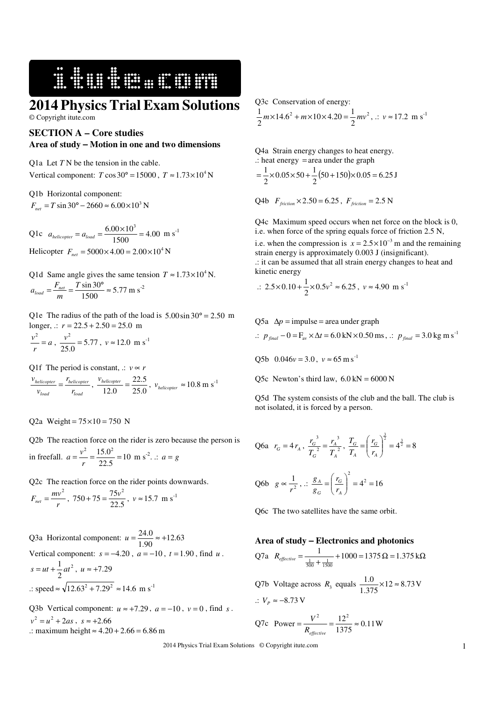**2014 Physics Trial Exam Solutions** 

16 September 1984

© Copyright itute.com

## **SECTION A – Core studies Area of study** − **Motion in one and two dimensions**

Q1a Let *T* N be the tension in the cable. Vertical component:  $T \cos 30^\circ = 15000$ ,  $T \approx 1.73 \times 10^4$  N

Q1b Horizontal component:  $F_{net} = T \sin 30^\circ - 2660 \approx 6.00 \times 10^3$  N

Q1c  $a_{helicopter} = a_{load} = \frac{6.66 \times 10}{1500} = 4.00$  $a_{helicopter} = a_{load} = \frac{6.00 \times 10^3}{1500} = 4.00$  m s<sup>-1</sup> Helicopter  $F_{net} = 5000 \times 4.00 = 2.00 \times 10^4$  N

Q1d Same angle gives the same tension  $T \approx 1.73 \times 10^4$  N.  $\frac{\sin 50}{1500} \approx 5.77$  $=\frac{F_{net}}{F_{net}} = \frac{T \sin 30^{\circ}}{1500} \approx$ *m*  $a_{load} = \frac{F_{net}}{m} = \frac{T \sin 30^{\circ}}{1500} \approx 5.77 \text{ m s}^{-2}$ 

Q1e The radius of the path of the load is  $5.00 \sin 30^\circ = 2.50$  m longer,  $\therefore$   $r = 22.5 + 2.50 = 25.0$  m

$$
\frac{v^2}{r} = a , \frac{v^2}{25.0} = 5.77 , v \approx 12.0 \text{ m s}^{-1}
$$

Q1f The period is constant,  $\therefore$  *v*  $\propto$  *r* 

*load helicopter load helicopter r r v*  $\frac{v_{helicopter}}{v_{load}} = \frac{r_{helicopter}}{r_{load}}$ ,  $\frac{v_{helicopter}}{12.0} = \frac{22.5}{25.0}$ 22.5  $\frac{v_{helicopter}}{12.0} = \frac{22.5}{25.0}$ ,  $v_{helicopter} \approx 10.8 \text{ m s}^{-1}$ 

Q2a Weight =  $75 \times 10 = 750$  N

Q2b The reaction force on the rider is zero because the person is in freefall.  $a = \frac{v}{r} = \frac{1530}{22.5} = 10$  $=\frac{v^2}{r}=\frac{15.0^2}{22.5}=$  $a = \frac{v^2}{v^2} = \frac{15.0^2}{22.5} = 10 \text{ m s}^2$ .  $\therefore a = g$ 

Q2c The reaction force on the rider points downwards.

$$
F_{net} = \frac{mv^2}{r}, 750 + 75 = \frac{75v^2}{22.5}, v \approx 15.7 \text{ m s}^{-1}
$$

Q3a Horizontal component:  $u = \frac{24.63}{1.90} \approx +12.63$  $u = \frac{24.0}{1.00} \approx +$ Vertical component:  $s = -4.20$ ,  $a = -10$ ,  $t = 1.90$ , find  $u$ . 2 2  $s = ut + \frac{1}{2}at^2$ ,  $u \approx +7.29$  $\therefore$  speed  $\approx \sqrt{12.63^2 + 7.29^2} \approx 14.6$  m s<sup>-1</sup>

Q3b Vertical component:  $u \approx +7.29$ ,  $a = -10$ ,  $v = 0$ , find *s*.  $v^2 = u^2 + 2as$ ,  $s \approx +2.66$ .: maximum height ≈  $4.20 + 2.66 = 6.86$  m

Q3c Conservation of energy:

$$
\frac{1}{2}m \times 14.6^2 + m \times 10 \times 4.20 = \frac{1}{2}mv^2, \therefore v \approx 17.2 \text{ m s}^{-1}
$$

Q4a Strain energy changes to heat energy. .: heat energy = area under the graph

$$
=\frac{1}{2}\times 0.05\times 50 + \frac{1}{2}(50 + 150)\times 0.05 = 6.25 \text{ J}
$$

Q4b 
$$
F_{friction} \times 2.50 = 6.25
$$
,  $F_{friction} = 2.5$  N

Q4c Maximum speed occurs when net force on the block is 0, i.e. when force of the spring equals force of friction 2.5 N,

i.e. when the compression is  $x = 2.5 \times 10^{-3}$  m and the remaining strain energy is approximately 0.003 J (insignificant). .: it can be assumed that all strain energy changes to heat and kinetic energy

$$
\therefore 2.5 \times 0.10 + \frac{1}{2} \times 0.5 v^2 \approx 6.25, v \approx 4.90 \text{ m s}^{-1}
$$

Q5a  $\Delta p$  = impulse = area under graph

 $\therefore$  *p*<sub>final</sub> − 0 = F<sub>av</sub> × ∆*t* = 6.0 kN × 0.50 ms,  $\therefore$  *p*<sub>final</sub> = 3.0 kg m s<sup>-1</sup>

Q5b  $0.046v = 3.0$ ,  $v \approx 65$  m s<sup>-1</sup>

Q5c Newton's third law,  $6.0 \text{ kN} = 6000 \text{ N}$ 

Q5d The system consists of the club and the ball. The club is not isolated, it is forced by a person.

Q6a 
$$
r_G = 4r_A
$$
,  $\frac{r_G^3}{T_G^2} = \frac{r_A^3}{T_A^2}$ ,  $\frac{T_G}{T_A} = \left(\frac{r_G}{r_A}\right)^{\frac{3}{2}} = 4^{\frac{3}{2}} = 8$ 

Q6b 
$$
g \propto \frac{1}{r^2}
$$
,  $\therefore \frac{g_A}{g_G} = \left(\frac{r_G}{r_A}\right)^2 = 4^2 = 16$ 

Q6c The two satellites have the same orbit.

### **Area of study** − **Electronics and photonics**

Q7a 
$$
R_{effective} = \frac{1}{\frac{1}{500} + \frac{1}{1500}} + 1000 = 1375 \Omega = 1.375 \text{ k}\Omega
$$
  
Q7b Voltage across  $R_3$  equals  $\frac{1.0}{1.375} \times 12 \approx 8.73 \text{ V}$   
 $\therefore V_p \approx -8.73 \text{ V}$ 

Q7c Power = 
$$
\frac{V^2}{R_{effective}}
$$
 =  $\frac{12^2}{1375}$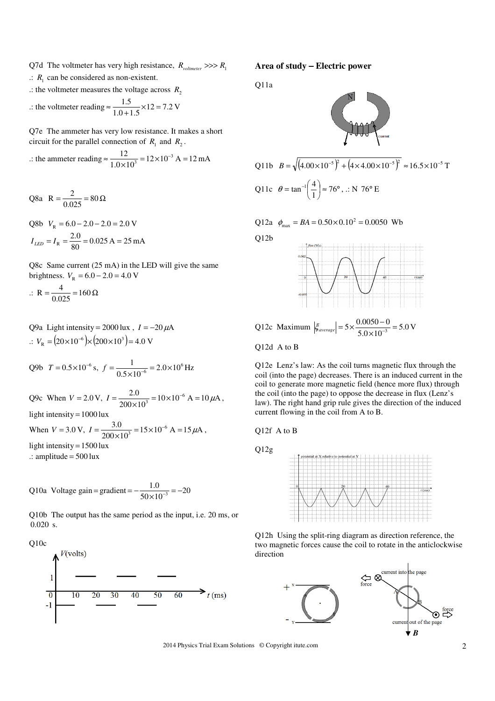- Q7d The voltmeter has very high resistance,  $R_{voltmeter} \gg > R_1$
- $\therefore$   $R_1$  can be considered as non-existent.
- .: the voltmeter measures the voltage across  $R_2$

$$
\therefore \text{ the voltmeter reading} \approx \frac{1.5}{1.0 + 1.5} \times 12 = 7.2 \text{ V}
$$

Q7e The ammeter has very low resistance. It makes a short circuit for the parallel connection of  $R_1$  and  $R_2$ .

... the ammeter reading 
$$
\approx \frac{12}{1.0 \times 10^3} = 12 \times 10^{-3}
$$
 A = 12 mA

$$
Q8a \quad R = \frac{2}{0.025} = 80 \,\Omega
$$

Q8b  $V_p = 6.0 - 2.0 - 2.0 = 2.0$  V  $\frac{2.0}{80}$  = 0.025 A = 25 mA  $I_{LED} = I_R = \frac{2.0}{80} = 0.025 \text{ A} =$ 

Q8c Same current (25 mA) in the LED will give the same brightness.  $V_R = 6.0 - 2.0 = 4.0$  V

$$
\therefore R = \frac{4}{0.025} = 160 \,\Omega
$$

Q9a Light intensity =  $2000$  lux,  $I = -20 \mu A$  $\therefore V_R = (20 \times 10^{-6}) \times (200 \times 10^3) = 4.0 \text{ V}.$ 

Q9b 
$$
T = 0.5 \times 10^{-6}
$$
 s,  $f = \frac{1}{0.5 \times 10^{-6}} = 2.0 \times 10^{6}$  Hz

Q9c When  $V = 2.0 \text{ V}$ ,  $I = \frac{2.00}{200 \times 10^3} = 10 \times 10^{-6} \text{ A} = 10 \mu\text{A}$  $I = \frac{2.0}{200 \times 10^3} = 10 \times 10^{-6}$  A = 10  $\mu$ A, light intensity =  $1000$  lux When  $V = 3.0 \text{ V}$ ,  $I = \frac{3.0 \text{ V}}{200 \times 10^3} = 15 \times 10^{-6} \text{ A} = 15 \mu\text{A}$  $I = \frac{3.0}{200 \times 10^3} = 15 \times 10^{-6} \text{ A} = 15 \,\mu\text{A}$ , light intensity  $= 1500$  lux  $\therefore$  amplitude = 500 lux

Q10a Voltage gain = gradient = 
$$
-\frac{1.0}{50 \times 10^{-3}} = -20
$$

Q10b The output has the same period as the input, i.e. 20 ms, or  $0.020$  s.





**Area of study** − **Electric power**

Q11a



Q11b 
$$
B = \sqrt{(4.00 \times 10^{-5})^2 + (4 \times 4.00 \times 10^{-5})^2} \approx 16.5 \times 10^{-5} \text{ T}
$$
  
Q11c  $\theta = \tan^{-1} \left(\frac{4}{1}\right) \approx 76^{\circ}, \therefore \text{ N } 76^{\circ} \text{ E}$ 

Q12a 
$$
\phi_{\text{max}} = BA = 0.50 \times 0.10^2 = 0.0050 \text{ Wb}
$$



Q12d A to B

Q12e Lenz's law: As the coil turns magnetic flux through the coil (into the page) decreases. There is an induced current in the coil to generate more magnetic field (hence more flux) through the coil (into the page) to oppose the decrease in flux (Lenz's law). The right hand grip rule gives the direction of the induced current flowing in the coil from A to B.

Q12f A to B

Q12g



Q12h Using the split-ring diagram as direction reference, the two magnetic forces cause the coil to rotate in the anticlockwise direction



2014 Physics Trial Exam Solutions © Copyright itute.com 2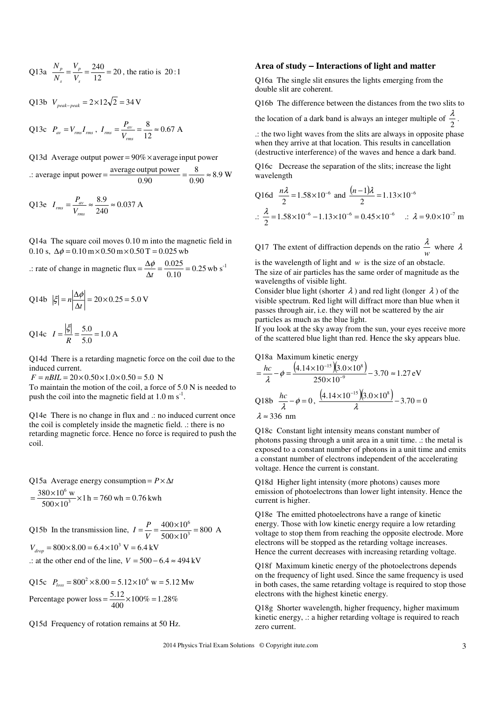Q13a 
$$
\frac{N_p}{N_s} = \frac{V_p}{V_s} = \frac{240}{12} = 20
$$
, the ratio is 20:1

$$
Q13b \ V_{peak-peak} = 2 \times 12\sqrt{2} = 34 \text{ V}
$$

Q13c  $P_{av} = V_{rms}I_{rms}$ ,  $I_{rms} = \frac{V_{av}}{V_{rms}} = \frac{0.67}{12} \approx 0.67$  $=\frac{P_{av}}{V}=\frac{8}{12}\approx$ *rms*  $v_{rms} = \frac{I_{av}}{V_{rm}}$  $I_{rms} = \frac{P_{av}}{I} = \frac{8}{12} \approx 0.67$  A

Q13d Average output power =  $90\% \times$  average input power

.: average input power =  $\frac{\text{average output power}}{0.90} = \frac{8.9}{0.90} \approx 8.9$ 8 0.90  $=\frac{\text{average output power}}{0.00}=\frac{8}{0.00} \approx 8.9 \text{ W}$ 

Q13e 
$$
I_{rms} = \frac{P_{av}}{V_{rms}} \approx \frac{8.9}{240} \approx 0.037 \text{ A}
$$

Q14a The square coil moves 0.10 m into the magnetic field in 0.10 s,  $\Delta\phi = 0.10 \text{ m} \times 0.50 \text{ m} \times 0.50 \text{ T} = 0.025 \text{ wb}$ 

.: rate of change in magnetic flux  $=$   $\frac{\Delta \psi}{\Delta t}$   $=$   $\frac{0.025}{0.10}$   $=$  0.25.  $\frac{\Delta \phi}{\Delta t} = \frac{0.025}{0.10} =$  $=\frac{\Delta \varphi}{\Delta t}$  $\frac{\phi}{\phi} = \frac{0.025}{0.18} = 0.25$  wb s<sup>-1</sup>

$$
Q14b \quad |\xi| = n \left| \frac{\Delta \phi}{\Delta t} \right| = 20 \times 0.25 = 5.0 \text{ V}
$$

Q14c 
$$
I = \frac{|\xi|}{R} = \frac{5.0}{5.0} = 1.0 \text{ A}
$$

Q14d There is a retarding magnetic force on the coil due to the induced current.

 $F = nBIL = 20 \times 0.50 \times 1.0 \times 0.50 = 5.0$  N

To maintain the motion of the coil, a force of 5.0 N is needed to push the coil into the magnetic field at  $1.0 \text{ m s}^{-1}$ .

Q14e There is no change in flux and .: no induced current once the coil is completely inside the magnetic field. .: there is no retarding magnetic force. Hence no force is required to push the coil.

Q15a Average energy consumption =  $P \times \Delta t$ 

$$
= \frac{380 \times 10^6 \text{ w}}{500 \times 10^3} \times 1 \text{ h} = 760 \text{ wh} = 0.76 \text{ kWh}
$$

Q15b In the transmission line,  $I = \frac{I}{V} = \frac{100 \times 10^3}{500 \times 10^3} = 800$  $400\times 10$ 3  $\frac{\times 10^6}{\times 10^3} =$  $=\frac{P}{V}=\frac{400\times}{500\times}$  $I = \frac{P}{I} = \frac{400 \times 10^6}{500 \times 10^3} = 800$  A  $V_{drop} = 800 \times 8.00 = 6.4 \times 10^3$  V = 6.4 kV

$$
\therefore
$$
 at the other end of the line,  $V = 500 - 6.4 \approx 494 \, \text{kV}$ 

Q15c  $P_{loss} = 800^2 \times 8.00 = 5.12 \times 10^6$  w = 5.12 Mw Percentage power  $loss = \frac{3.12}{400} \times 100\% = 1.28\%$  $=\frac{5.12}{100}\times100\%$ 

Q15d Frequency of rotation remains at 50 Hz.

#### **Area of study** − **Interactions of light and matter**

Q16a The single slit ensures the lights emerging from the double slit are coherent.

Q16b The difference between the distances from the two slits to

the location of a dark band is always an integer multiple of  $\frac{\pi}{2}$  $\frac{\lambda}{2}$ .

.: the two light waves from the slits are always in opposite phase when they arrive at that location. This results in cancellation (destructive interference) of the waves and hence a dark band.

Q16c Decrease the separation of the slits; increase the light wavelength

Q16d 
$$
\frac{n\lambda}{2}
$$
 = 1.58×10<sup>-6</sup> and  $\frac{(n-1)\lambda}{2}$  = 1.13×10<sup>-6</sup>  

$$
\therefore \frac{\lambda}{2}
$$
 = 1.58×10<sup>-6</sup> -1.13×10<sup>-6</sup> = 0.45×10<sup>-6</sup>  $\therefore \lambda$  = 9.0×10<sup>-7</sup> m

Q17 The extent of diffraction depends on the ratio  $\frac{dv}{w}$  $\frac{\lambda}{\lambda}$  where  $\lambda$ 

is the wavelength of light and *w* is the size of an obstacle. The size of air particles has the same order of magnitude as the wavelengths of visible light.

Consider blue light (shorter  $\lambda$ ) and red light (longer  $\lambda$ ) of the visible spectrum. Red light will diffract more than blue when it passes through air, i.e. they will not be scattered by the air particles as much as the blue light.

If you look at the sky away from the sun, your eyes receive more of the scattered blue light than red. Hence the sky appears blue.

Q18a Maximum kinetic energy  
\n
$$
= \frac{hc}{\lambda} - \phi = \frac{(4.14 \times 10^{-15})(3.0 \times 10^8)}{250 \times 10^{-9}} - 3.70 \approx 1.27 \text{ eV}
$$
\nQ18b  $\frac{hc}{\lambda} - \phi = 0$ ,  $\frac{(4.14 \times 10^{-15})(3.0 \times 10^8)}{\lambda} - 3.70 = 0$   
\n $\lambda \approx 336 \text{ nm}$ 

Q18c Constant light intensity means constant number of photons passing through a unit area in a unit time. .: the metal is exposed to a constant number of photons in a unit time and emits a constant number of electrons independent of the accelerating voltage. Hence the current is constant.

Q18d Higher light intensity (more photons) causes more emission of photoelectrons than lower light intensity. Hence the current is higher.

Q18e The emitted photoelectrons have a range of kinetic energy. Those with low kinetic energy require a low retarding voltage to stop them from reaching the opposite electrode. More electrons will be stopped as the retarding voltage increases. Hence the current decreases with increasing retarding voltage.

Q18f Maximum kinetic energy of the photoelectrons depends on the frequency of light used. Since the same frequency is used in both cases, the same retarding voltage is required to stop those electrons with the highest kinetic energy.

Q18g Shorter wavelength, higher frequency, higher maximum kinetic energy, .: a higher retarding voltage is required to reach zero current.